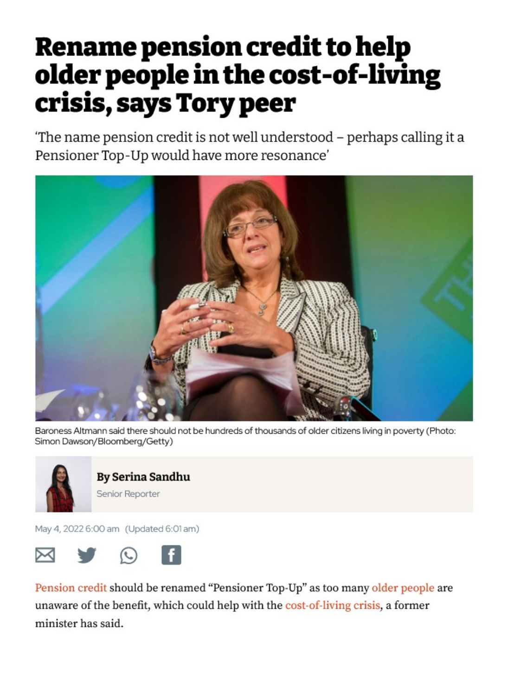## Rename pension credit to help older people in the cost-of-living crisis, says Tory peer

'The name pension credit is not well understood – perhaps calling it <sup>a</sup> Pensioner Top-Up would have more resonance'



Baroness Altmann said there should not be hundreds of thousands of older citizens living in poverty (Photo: Simon Dawson/Bloomberg/Getty)



By [Serina Sandhu](https://inews.co.uk/author/serina-sandhu)  Senior Reporter

May 4, 2022 6:00 am (Updated 6:01 am)



[Pension credit](https://inews.co.uk/topic/pension-credit?ico=in-line_link) should be renamed "Pensioner Top-Up" as too many [older people](https://inews.co.uk/opinion/triple-lock-rishi-sunak-pension-credit-poorest-pensioners-1062959?ico=in-line_link) are unaware of the benefit, which could help with the cost-of-living crisis, a former minister has said.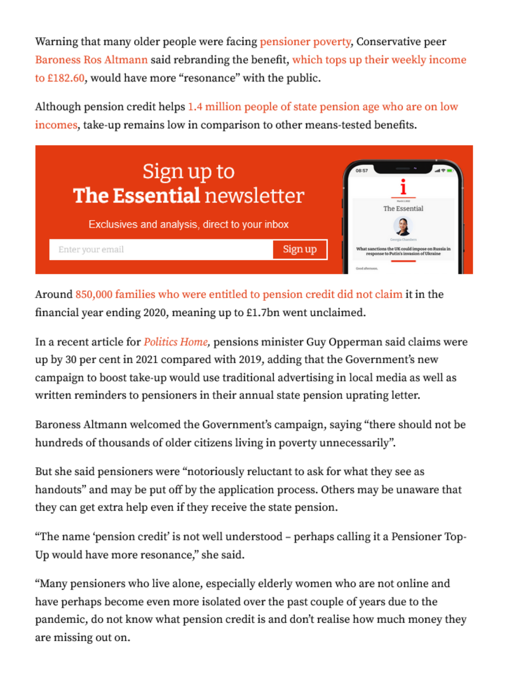Warning that many older people were facing pensioner poverty, Conservative peer [Baroness Ros Altmann](https://inews.co.uk/author/baroness-ros-altmann?ico=in-line_link) said rebranding the benefit, [which tops up their weekly income](https://www.gov.uk/pension-credit/what-youll-get)  to [£182.60](https://www.gov.uk/pension-credit/what-youll-get) , would have more "resonance" with the public.

Although pension credit helps [1.4 million people of state pension age who are on low](https://www.gov.uk/government/statistics/dwp-benefits-statistics-february-2022/dwp-benefits-statistics-february-2022)  incomes, take-up remains low in comparison to other means-tested benefits.



Around [850,000 families who were entitled](https://www.gov.uk/government/statistics/income-related-benefits-estimates-of-take-up-financial-year-2019-to-2020/income-related-benefits-estimates-of-take-up-financial-year-2019-to-2020) to pension credit did not claim it in the financial year ending 2020, meaning up to £1.7bn went unclaimed.

In a recent article for *Politics Home*, pensions minister Guy Opperman said claims were up by 30 per cent in 2021 compared with 2019, adding that the Government's new campaign to boost take-up would use traditional advertising in local media as well as written reminders to pensioners in their annual state pension uprating letter.

Baroness Altmann welcomed the Government's campaign, saying "there should not be hundreds of thousands of older citizens living in poverty unnecessarily".

But she said pensioners were "notoriously reluctant to ask for what they see as handouts" and may be put off by the application process. Others may be unaware that they can get extra help even if they receive the state pension.

"The name 'pension credit' is not well understood - perhaps calling it a Pensioner Top-Up would have more resonance," she said.

"Many pensioners who live alone, especially elderly women who are not online and have perhaps become even more isolated over the past couple of years due to the pandemic, do not know what pension credit is and don't realise how much money they are missing out on.